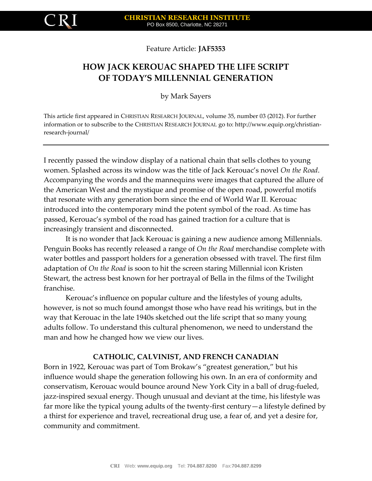

Feature Article: **JAF5353**

# **HOW JACK KEROUAC SHAPED THE LIFE SCRIPT OF TODAY'S MILLENNIAL GENERATION**

by Mark Sayers

This article first appeared in CHRISTIAN RESEARCH JOURNAL, volume 35, number 03 (2012). For further information or to subscribe to the CHRISTIAN RESEARCH JOURNAL go to: http://www.equip.org/christianresearch-journal/

I recently passed the window display of a national chain that sells clothes to young women. Splashed across its window was the title of Jack Kerouac's novel *On the Road*. Accompanying the words and the mannequins were images that captured the allure of the American West and the mystique and promise of the open road, powerful motifs that resonate with any generation born since the end of World War II. Kerouac introduced into the contemporary mind the potent symbol of the road. As time has passed, Kerouac's symbol of the road has gained traction for a culture that is increasingly transient and disconnected.

It is no wonder that Jack Kerouac is gaining a new audience among Millennials. Penguin Books has recently released a range of *On the Road* merchandise complete with water bottles and passport holders for a generation obsessed with travel. The first film adaptation of *On the Road* is soon to hit the screen staring Millennial icon Kristen Stewart, the actress best known for her portrayal of Bella in the films of the Twilight franchise.

Kerouac's influence on popular culture and the lifestyles of young adults, however, is not so much found amongst those who have read his writings, but in the way that Kerouac in the late 1940s sketched out the life script that so many young adults follow. To understand this cultural phenomenon, we need to understand the man and how he changed how we view our lives.

# **CATHOLIC, CALVINIST, AND FRENCH CANADIAN**

Born in 1922, Kerouac was part of Tom Brokaw's "greatest generation," but his influence would shape the generation following his own. In an era of conformity and conservatism, Kerouac would bounce around New York City in a ball of drug-fueled, jazz-inspired sexual energy. Though unusual and deviant at the time, his lifestyle was far more like the typical young adults of the twenty-first century—a lifestyle defined by a thirst for experience and travel, recreational drug use, a fear of, and yet a desire for, community and commitment.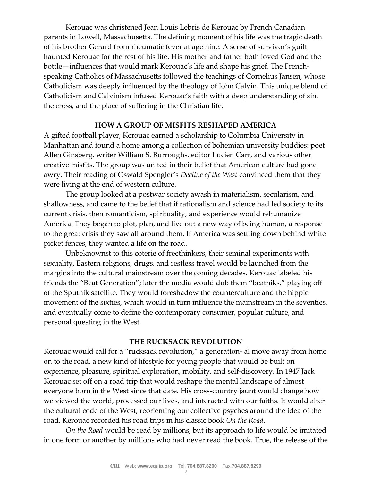Kerouac was christened Jean Louis Lebris de Kerouac by French Canadian parents in Lowell, Massachusetts. The defining moment of his life was the tragic death of his brother Gerard from rheumatic fever at age nine. A sense of survivor's guilt haunted Kerouac for the rest of his life. His mother and father both loved God and the bottle—influences that would mark Kerouac's life and shape his grief. The Frenchspeaking Catholics of Massachusetts followed the teachings of Cornelius Jansen, whose Catholicism was deeply influenced by the theology of John Calvin. This unique blend of Catholicism and Calvinism infused Kerouac's faith with a deep understanding of sin, the cross, and the place of suffering in the Christian life.

### **HOW A GROUP OF MISFITS RESHAPED AMERICA**

A gifted football player, Kerouac earned a scholarship to Columbia University in Manhattan and found a home among a collection of bohemian university buddies: poet Allen Ginsberg, writer William S. Burroughs, editor Lucien Carr, and various other creative misfits. The group was united in their belief that American culture had gone awry. Their reading of Oswald Spengler's *Decline of the West* convinced them that they were living at the end of western culture.

The group looked at a postwar society awash in materialism, secularism, and shallowness, and came to the belief that if rationalism and science had led society to its current crisis, then romanticism, spirituality, and experience would rehumanize America. They began to plot, plan, and live out a new way of being human, a response to the great crisis they saw all around them. If America was settling down behind white picket fences, they wanted a life on the road.

Unbeknownst to this coterie of freethinkers, their seminal experiments with sexuality, Eastern religions, drugs, and restless travel would be launched from the margins into the cultural mainstream over the coming decades. Kerouac labeled his friends the "Beat Generation"; later the media would dub them "beatniks," playing off of the Sputnik satellite. They would foreshadow the counterculture and the hippie movement of the sixties, which would in turn influence the mainstream in the seventies, and eventually come to define the contemporary consumer, popular culture, and personal questing in the West.

## **THE RUCKSACK REVOLUTION**

Kerouac would call for a "rucksack revolution," a generation- al move away from home on to the road, a new kind of lifestyle for young people that would be built on experience, pleasure, spiritual exploration, mobility, and self-discovery. In 1947 Jack Kerouac set off on a road trip that would reshape the mental landscape of almost everyone born in the West since that date. His cross-country jaunt would change how we viewed the world, processed our lives, and interacted with our faiths. It would alter the cultural code of the West, reorienting our collective psyches around the idea of the road. Kerouac recorded his road trips in his classic book *On the Road*.

*On the Road* would be read by millions, but its approach to life would be imitated in one form or another by millions who had never read the book. True, the release of the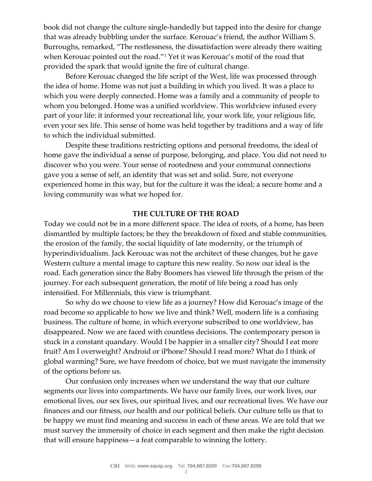book did not change the culture single-handedly but tapped into the desire for change that was already bubbling under the surface. Kerouac's friend, the author William S. Burroughs, remarked, "The restlessness, the dissatisfaction were already there waiting when Kerouac pointed out the road."<sup>1</sup> Yet it was Kerouac's motif of the road that provided the spark that would ignite the fire of cultural change.

Before Kerouac changed the life script of the West, life was processed through the idea of home. Home was not just a building in which you lived. It was a place to which you were deeply connected. Home was a family and a community of people to whom you belonged. Home was a unified worldview. This worldview infused every part of your life: it informed your recreational life, your work life, your religious life, even your sex life. This sense of home was held together by traditions and a way of life to which the individual submitted.

Despite these traditions restricting options and personal freedoms, the ideal of home gave the individual a sense of purpose, belonging, and place. You did not need to discover who you were. Your sense of rootedness and your communal connections gave you a sense of self, an identity that was set and solid. Sure, not everyone experienced home in this way, but for the culture it was the ideal; a secure home and a loving community was what we hoped for.

## **THE CULTURE OF THE ROAD**

Today we could not be in a more different space. The idea of roots, of a home, has been dismantled by multiple factors; be they the breakdown of fixed and stable communities, the erosion of the family, the social liquidity of late modernity, or the triumph of hyperindividualism. Jack Kerouac was not the architect of these changes, but he gave Western culture a mental image to capture this new reality. So now our ideal is the road. Each generation since the Baby Boomers has viewed life through the prism of the journey. For each subsequent generation, the motif of life being a road has only intensified. For Millennials, this view is triumphant.

So why do we choose to view life as a journey? How did Kerouac's image of the road become so applicable to how we live and think? Well, modern life is a confusing business. The culture of home, in which everyone subscribed to one worldview, has disappeared. Now we are faced with countless decisions. The contemporary person is stuck in a constant quandary. Would I be happier in a smaller city? Should I eat more fruit? Am I overweight? Android or iPhone? Should I read more? What do I think of global warming? Sure, we have freedom of choice, but we must navigate the immensity of the options before us.

Our confusion only increases when we understand the way that our culture segments our lives into compartments. We have our family lives, our work lives, our emotional lives, our sex lives, our spiritual lives, and our recreational lives. We have our finances and our fitness, our health and our political beliefs. Our culture tells us that to be happy we must find meaning and success in each of these areas. We are told that we must survey the immensity of choice in each segment and then make the right decision that will ensure happiness—a feat comparable to winning the lottery.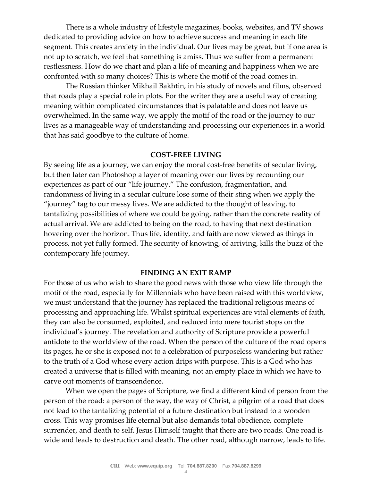There is a whole industry of lifestyle magazines, books, websites, and TV shows dedicated to providing advice on how to achieve success and meaning in each life segment. This creates anxiety in the individual. Our lives may be great, but if one area is not up to scratch, we feel that something is amiss. Thus we suffer from a permanent restlessness. How do we chart and plan a life of meaning and happiness when we are confronted with so many choices? This is where the motif of the road comes in.

The Russian thinker Mikhail Bakhtin, in his study of novels and films, observed that roads play a special role in plots. For the writer they are a useful way of creating meaning within complicated circumstances that is palatable and does not leave us overwhelmed. In the same way, we apply the motif of the road or the journey to our lives as a manageable way of understanding and processing our experiences in a world that has said goodbye to the culture of home.

#### **COST-FREE LIVING**

By seeing life as a journey, we can enjoy the moral cost-free benefits of secular living, but then later can Photoshop a layer of meaning over our lives by recounting our experiences as part of our "life journey." The confusion, fragmentation, and randomness of living in a secular culture lose some of their sting when we apply the "journey" tag to our messy lives. We are addicted to the thought of leaving, to tantalizing possibilities of where we could be going, rather than the concrete reality of actual arrival. We are addicted to being on the road, to having that next destination hovering over the horizon. Thus life, identity, and faith are now viewed as things in process, not yet fully formed. The security of knowing, of arriving, kills the buzz of the contemporary life journey.

#### **FINDING AN EXIT RAMP**

For those of us who wish to share the good news with those who view life through the motif of the road, especially for Millennials who have been raised with this worldview, we must understand that the journey has replaced the traditional religious means of processing and approaching life. Whilst spiritual experiences are vital elements of faith, they can also be consumed, exploited, and reduced into mere tourist stops on the individual's journey. The revelation and authority of Scripture provide a powerful antidote to the worldview of the road. When the person of the culture of the road opens its pages, he or she is exposed not to a celebration of purposeless wandering but rather to the truth of a God whose every action drips with purpose. This is a God who has created a universe that is filled with meaning, not an empty place in which we have to carve out moments of transcendence.

When we open the pages of Scripture, we find a different kind of person from the person of the road: a person of the way, the way of Christ, a pilgrim of a road that does not lead to the tantalizing potential of a future destination but instead to a wooden cross. This way promises life eternal but also demands total obedience, complete surrender, and death to self. Jesus Himself taught that there are two roads. One road is wide and leads to destruction and death. The other road, although narrow, leads to life.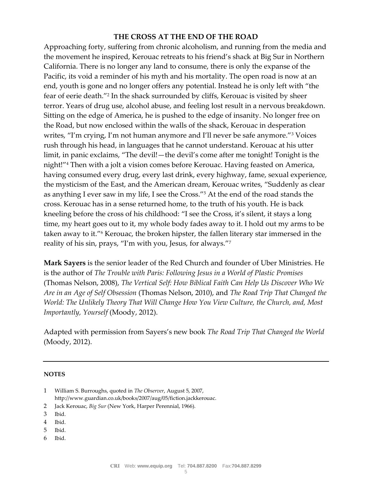# **THE CROSS AT THE END OF THE ROAD**

Approaching forty, suffering from chronic alcoholism, and running from the media and the movement he inspired, Kerouac retreats to his friend's shack at Big Sur in Northern California. There is no longer any land to consume, there is only the expanse of the Pacific, its void a reminder of his myth and his mortality. The open road is now at an end, youth is gone and no longer offers any potential. Instead he is only left with "the fear of eerie death."<sup>2</sup> In the shack surrounded by cliffs, Kerouac is visited by sheer terror. Years of drug use, alcohol abuse, and feeling lost result in a nervous breakdown. Sitting on the edge of America, he is pushed to the edge of insanity. No longer free on the Road, but now enclosed within the walls of the shack, Kerouac in desperation writes, "I'm crying, I'm not human anymore and I'll never be safe anymore."<sup>3</sup> Voices rush through his head, in languages that he cannot understand. Kerouac at his utter limit, in panic exclaims, "The devil!—the devil's come after me tonight! Tonight is the night!"<sup>4</sup> Then with a jolt a vision comes before Kerouac. Having feasted on America, having consumed every drug, every last drink, every highway, fame, sexual experience, the mysticism of the East, and the American dream, Kerouac writes, "Suddenly as clear as anything I ever saw in my life, I see the Cross."<sup>5</sup> At the end of the road stands the cross. Kerouac has in a sense returned home, to the truth of his youth. He is back kneeling before the cross of his childhood: "I see the Cross, it's silent, it stays a long time, my heart goes out to it, my whole body fades away to it. I hold out my arms to be taken away to it."<sup>6</sup> Kerouac, the broken hipster, the fallen literary star immersed in the reality of his sin, prays, "I'm with you, Jesus, for always."<sup>7</sup>

**Mark Sayers** is the senior leader of the Red Church and founder of Uber Ministries. He is the author of *The Trouble with Paris: Following Jesus in a World of Plastic Promises*  (Thomas Nelson, 2008), *The Vertical Self: How Biblical Faith Can Help Us Discover Who We Are in an Age of Self Obsession* (Thomas Nelson, 2010), and *The Road Trip That Changed the World: The Unlikely Theory That Will Change How You View Culture, the Church, and, Most Importantly, Yourself* (Moody, 2012).

Adapted with permission from Sayers's new book *The Road Trip That Changed the World* (Moody, 2012).

#### **NOTES**

- 2 Jack Kerouac, *Big Sur* (New York, Harper Perennial, 1966).
- 
- 3 Ibid.
- 4 Ibid.
- 5 Ibid.
- 6 Ibid.

<sup>1</sup> William S. Burroughs, quoted in *The Observer*, August 5, 2007, http://www.guardian.co.uk/books/2007/aug/05/fiction.jackkerouac.